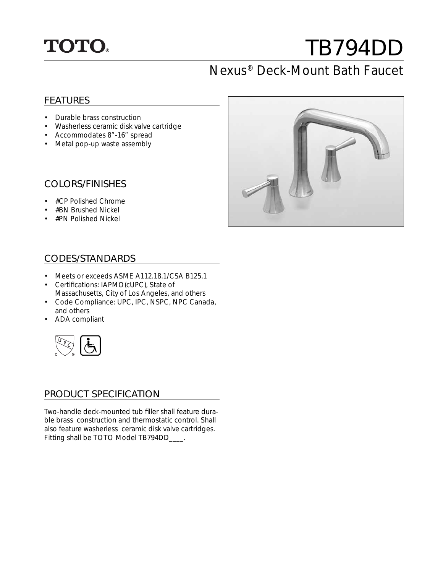

# TB794DD

## Nexus® Deck-Mount Bath Faucet

#### FEATURES

- Durable brass construction
- Washerless ceramic disk valve cartridge
- Accommodates 8"-16" spread
- Metal pop-up waste assembly

#### COLORS/FINISHES

- #CP Polished Chrome
- #BN Brushed Nickel
- #PN Polished Nickel

#### CODES/STANDARDS

- Meets or exceeds ASME A112.18.1/CSA B125.1
- Certifications: IAPMO(cUPC), State of Massachusetts, City of Los Angeles, and others
- Code Compliance: UPC, IPC, NSPC, NPC Canada, and others
- ADA compliant



#### PRODUCT SPECIFICATION

Two-handle deck-mounted tub filler shall feature durable brass construction and thermostatic control. Shall also feature washerless ceramic disk valve cartridges. Fitting shall be TOTO Model TB794DD\_\_\_\_.